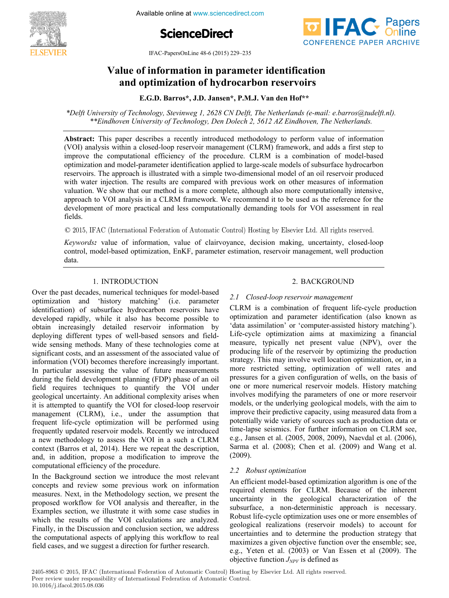Available online at www.sciencedirect.com





IFAC-PapersOnLine 48-6 (2015) 229–235

# Value of information in parameter identification **and optimization of hydrocarbon reservoirs and optimization of hydrocarbon reservoirs and optimization of hydrocarbon reservoirs and optimization of hydrocarbon reservoirs Value of information in parameter identification**

#### **E.G.D. Barros\*, J.D. Jansen\*, P.M.J. Van den Hof\*\* E.G.D. Barros\*, J.D. Jansen\*, P.M.J. Van den Hof\*\* E.G.D. Barros\*, J.D. Jansen\*, P.M.J. Van den Hof\*\* E.G.D. Barros\*, J.D. Jansen\*, P.M.J. Van den Hof\*\***

\*\*Eindhoven University of Technology, Den Dolech 2, 5612 AZ Eindhoven, The Netherlands. *\*\*Eindhoven University of Technology, Den Dolech 2, 5612 AZ Eindhoven, The Netherlands. \*Delft University of Technology, Stevinweg 1, 2628 CN Delft, The Netherlands (e-mail: e.barros@tudelft.nl). \*\*Eindhoven University of Technology, Den Dolech 2, 5612 AZ Eindhoven, The Netherlands.*

(VOI) analysis within a closed-loop reservoir management (CLRM) framework, and adds a first step to improve the computational efficiency of the procedure. CLRM is a combination of model-based optimization and model-parameter identification applied to large-scale models of subsurface hydrocarbon reservoirs. The approach is illustrated with a simple two-dimensional model of an oil reservoir produced with water injection. The results are compared with previous work on other measures of information valuation. We show that our method is a more complete, although also more computationally intensive, approach to VOI analysis in a CLRM framework. We recommend it to be used as the reference for the development of more practical and less computationally demanding tools for VOI assessment in real development of more practical and less computationally demanding tools for VOI assessment in real<br>fields *\*\*Eindhoven University of Technology, Den Dolech 2, 5612 AZ Eindhoven, The Netherlands.*  $\alpha$  more practical and less computationally demanding tools for  $V$ **Abstract:** This paper describes a recently introduced methodology to perform value of information fields. *\*\*Eindhoven University of Technology, Den Dolech 2, 5612 AZ Eindhoven, The Netherlands.*  $\alpha$  more practical and less computationally demanding tools for  $V$ development of more practical and less computational and less computational demanding tools for VOI assessment in real and less computational demanding tools for VOI assessment in real and less computational development in

© 2015, IFAC (International Federation of Automatic Control) Hosting by Elsevier Ltd. All rights reserved. © 2015, IFAC (International Federation of Automatic Control) Hosting by Elsevier Ltd. All rights reserved.

*Keywords:* value of information, value of clairvoyance, decision making, uncertainty, closed-loop Reywords: value of information, value of clairvoyance, decision making, uncertainty, closed-loop data. control, model-based optimization, EnKF, parameter estimation, reservoir management, well production data. control, model-based optimization, EnKF, parameter estimation, reservoir management, well production data. data. data.

#### 1. INTRODUCTION 1. INTRODUCTION 1. INTRODUCTION

Over the past decades, numerical techniques for model-based 1. INTRODUCTION Over the past decades, numerical techniques for model-based optimization and 'history matching' (i.e. parameter identification) of subsurface hydrocarbon reservoirs have developed rapidly, while it also has become possible to obtain increasingly detailed reservoir information by developed rapidly, while it also has become possible to deploying different types of well-based sensors and fieldapproying amount types of well-based sensors and field-<br>wide sensing methods. Many of these technologies come at wide sensing members. Many of these verificinglies come at significant costs, and an assessment of the associated value of significant costs, and an assessment of the associated value of information (VOI) becomes therefore increasingly important. In particular assessing the value of future measurements In particular assessing the value of future measurements during the field development planning (FDP) phase of an oil adding the field requires techniques to quantify the VOI under requires techniques to quantify the VOI under<br>geological uncertainty. An additional complexity arises when it is attempted to quantify the VOI for closed-loop reservoir management (CLRM), i.e., under the assumption that management (CLRM), i.e., under the assumption that frequent life-cycle optimization will be performed using frequently updated reservoir models. Recently we introduced a new methodology to assess the VOI in a such a CLRM a new methodology to assess the VOI in a such a CERRM context (Barros et al., 2014). Here we repeat the description, edition, context (Barros et al, 2014). Here we repeat the description, and, in addition, propose a modification to improve the computational efficiency of the procedure. Over the past decades, numerical techniques for model-based<br>
optimization and 'history matching' (i.e. parameter optimization and 'history matching' (i.e. parameter dentification) of subsurface hydrocarbon reservoirs have developed rapidly, while it also has become possible to developed rapidly, while it also has become possible to obtain increasingly detailed reservoir information by deploying different types of well based sensors and field deploying different types of well-based sensors and fieldwhere sensing methods, many of these technologies come at significant costs, and an assessment of the associated value of information (VOI) becomes therefore increasingly important.<br>In particular assessing the value of future measurements In particular assessing the value of future measurements  $\frac{1}{2}$ during the field development planning (FDP) phase of an oil field requires techniques to quantify the VOI under geological uncertainty. An additional complexity arises when<br>it is attempted to quantify the VOI for closed loop reservoir it is attempted to quantify the VOI for closed-loop reservoir  $\frac{1}{10}$  frequent (CLRM), i.e., under the assumption that the vector of  $\frac{1}{10}$  for  $\frac{1}{10}$  for  $\frac{1}{10}$  for  $\frac{1}{10}$  for  $\frac{1}{10}$  for  $\frac{1}{10}$  for  $\frac{1}{10}$  for  $\frac{1}{10}$  for  $\frac{1}{10}$  for  $\frac{1}{10}$  f frequent life-cycle optimization will be performed using frequently updated reservoir models. Recently we introduced<br>a new methodology to assess the VOU in a such a CUPM a new methodology to assess the VOI in a such a CLRM context (Barros et al., 2014). Here we repeat the description, and, in addition, propose a modification to improve the optimization and instery materially (i.e. parameter identification) of subsurface hydrocarbon reservoirs have developed rapidly, while it also has become possible to deploying different types of well-based sensors and field-wide sensing methods. Many of these technologies come at while sensing methods. Many of these technologies come at significant costs, and an assessment of the associated value of Over the past decades, numerical techniques for model-based 2.1 Closed-loop reservoir management<br>opinization and "histoty matching" (i.e. parameter declination for frequent identification) of substrace hydrocarbon reservo Assisted collens at www.someonicet.com<br> **School Control is defined assisted by the Control is defined as Production Control is defined as Production Control is defined as Production Control is defined as Production Contro** 

In the Background section we introduce the most relevant In the Background section we introduce the most relevant extractively and review some previous work on information measures. Next, in the Methodology section, we present the measures. Next, in the Methodology section, we present the proposed workflow for VOI analysis and thereafter, in the Examples section, we illustrate it with some case studies in proposed workflow for VOI analysis and thereafter, in the Examples section, we interacte it with some case statute in which the results of the VOI calculations are analyzed. Finally, in the Discussion and conclusion section, we address which the results of the VOI calculations are analyzed. the computational aspects of applying this workflow to real Finally, in the Discussion and conclusion section, we address the computational aspects of applying this workflow to real-<br>field cases, and we suggest a direction for further research. field cases, and we suggest a direction for further research. field cases, and we suggest a direction for further research. In the Background section we introduce the most relevant concepts and review some previous work on information<br>measures. Next in the Methodology section, we present the measures. Next, in the Methodology section, we present the proposed workflow for VOI analysis and thereafter, in the<br>Examples section we illustrate it with some case studies in Examples section, we illustrate it with some case studies in which the results of the VOI calculations are analyzed. Finally, in the Discussion and conclusion section, we address the computational aspects of applying this workflow to real<br>field cases and we suggest a direction for further research

#### 2. BACKGROUND 2. BACKGROUND 2. BACKGROUND OF THE 2. BACKGROUND

#### *2.1 Closed-loop reservoir management 2.1 Closed-loop reservoir management 2.1 Closed-loop reservoir management*

CLRM is a combination of frequent life-cycle production *2.1 Closed-loop reservoir management* CLRM is a combination of frequent life-cycle production optimization and parameter identification (also known as 'data assimilation' or 'computer-assisted history matching'). Life-cycle optimization aims at maximizing a financial measure, typically net present value (NPV), over the measure, typically net present value (NPV), over the production producing life of the reservoir by optimizing the production strategy. This may involve well location optimization, or, in a strategy. This may involve well received optimization, or, in a more restricted setting, optimization of well rates and pressures for a given configuration of wells, on the basis of pressures for a given comiganation of wells, on the basis of one or more numerical reservoir models. History matching involves modifying the parameters of one or more reservoir models, or the underlying geological models, with the aim to models, or the underlying geological models, with the aim to improve their predictive capacity, using measured data from a miprove their predictive capacity, using measured data from a potentially wide variety of sources such as production data or time-lapse seismics. For further information on CLRM see, e.g., Jansen et al. (2005, 2008, 2009), Naevdal et al. (2006), Sarma et al.  $(2008)$ ; Chen et al.  $(2009)$  and Wang et al. (2009). (2009). Sarma et al. (2008); Chen et al. (2009) and Wang et al. (2009). Sarma et al. (2008); Chen et al. (2009) and Wang et al.  $(200)$ . CLRM is a combination of frequent life-cycle production optimization and parameter identification (also known as<br>
'data assimilation' or 'computer assisted history matching') data assimilation or computer-assisted history matching ). Life-cycle optimization aims at maximizing a financial<br>measure typically net present value (NDV) over the measure, typically net present value (NPV), over the producing life of the reservoir by optimizing the production<br>strategy. This may involve well location optimization, or in a strategy. This may involve well location optimization, or, in a more restricted setting, optimization of well rates and pressures for a given configuration of wells, on the basis of one or more numerical reservoir models. History matching<br>involves modifying the parameters of one or more reservoir involves modifying the parameters of one or more reservoir models, or the underlying geological models, with the aim to<br>improve their predictive capacity, using measured data from a improve their predictive capacity, using measured data from a potentially wide variety of sources such as production data or<br>time lange seismics. For further information on CLRM see time-lapse seismics. For further information on CLRM see, e.g., Jansen et al. (2005, 2008, 2009), Naevdal et al. (2006),<br>Sarma et al. (2008): Chan et al. (2000) and Wang et al. Sarma et al. (2000); Chen et al. (2009) and Wang et al. (2009).

# *2.2 Robust optimization 2.2 Robust optimization 2.2Robust optimization2.2 Robust optimization*

An efficient model-based optimization algorithm is one of the *2.2 Robust optimization* An efficient model-based optimization algorithm is one of the required elements for CLRM. Because of the inherent modeluncertainty in the geological characterization of the subsurface, a non-deterministic approach is necessary. Robust life-cycle optimization uses one or more ensembles of receive the eyer epimization ases one or more ensembles of geological realizations (reservoir models) to account for uncertainties and to determine the production strategy that maximizes a given objective function over the ensemble; see, maximizes a given objective function over the ensemble; see, e.g., Yeten et al. (2003) or Van Essen et al. (2009). The  $\sigma_{S_1S_2}$ , Yeten et al. (2009) or Van Essen et al. (2009). The objective function *J<sub>NPV</sub>* is defined as An efficient model-based optimization algorithm is one of the indices  $\frac{1}{2}$ required elements for CLRM. Because of the innerent required elements for CLRM. Because of the inherent uncertainty in the geological characterization of the subsurface a non-deterministic approach is necessary. subsurface, a non-deterministic approach is necessary. Robust life-cycle optimization uses one or more ensembles of geological realizations (reservoir models) to account for uncertainties and to determine the production strategy that maximizes a given objective function over the ensemble; see, maximizes a given objective function over the ensemble; see, e.g., Yeten et al. (2003) or Van Essen et al. (2009). The objective function *I* is defined as An efficient model-based optimization algorithm is one of the required elements for CLRM. Because of the inherent

2405-8963 © 2015, IFAC (International Federation of Automatic Control) Hosting by Elsevier Ltd. All rights reserved. Peer review under responsibility of International Federation of Automatic Control. 10.1016/j.ifacol.2015.08.036 10.1016/j.ifacol.2015.08.036 2405-8963 © 2015, IFAC (International Federation of Automatic Control)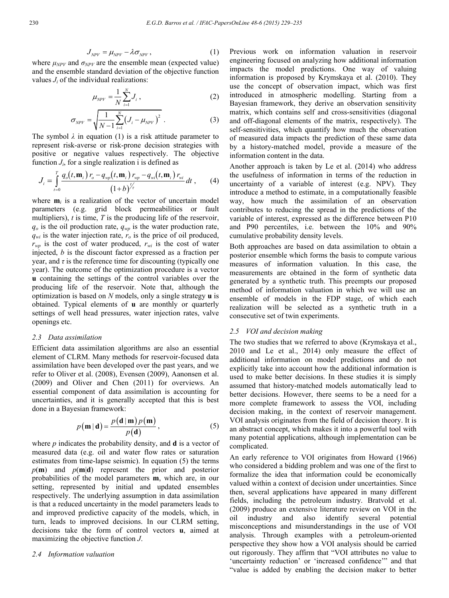$$
J_{NPV} = \mu_{NPV} - \lambda \sigma_{NPV}, \qquad (1)
$$

where  $\mu_{NPV}$  and  $\sigma_{NPV}$  are the ensemble mean (expected value) and the ensemble standard deviation of the objective function values *Ji* of the individual realizations:

$$
\mu_{NPV} = \frac{1}{N} \sum_{i=1}^{N} J_i \,, \tag{2}
$$

$$
\sigma_{NPV} = \sqrt{\frac{1}{N-1} \sum_{i=1}^{N} (J_i - \mu_{NPV})^2}
$$
 (3)

The symbol  $\lambda$  in equation (1) is a risk attitude parameter to represent risk-averse or risk-prone decision strategies with positive or negative values respectively. The objective function  $J_i$ , for a single realization i is defined as

$$
J_i = \int_{t=0}^{T} \frac{q_o(t, \mathbf{m}_i) r_o - q_{wp}(t, \mathbf{m}_i) r_{wp} - q_{wi}(t, \mathbf{m}_i) r_{wi}}{(1 + b)^{2_f}} dt , \qquad (4)
$$

where  $\mathbf{m}_i$  is a realization of the vector of uncertain model parameters (e.g. grid block permeabilities or fault multipliers), *t* is time, *T* is the producing life of the reservoir,  $q_o$  is the oil production rate,  $q_{wp}$  is the water production rate,  $q_{wi}$  is the water injection rate,  $r_o$  is the price of oil produced,  $r_{wp}$  is the cost of water produced,  $r_{wi}$  is the cost of water injected, *b* is the discount factor expressed as a fraction per year, and  $\tau$  is the reference time for discounting (typically one year). The outcome of the optimization procedure is a vector **u** containing the settings of the control variables over the producing life of the reservoir. Note that, although the optimization is based on *N* models, only a single strategy **u** is obtained. Typical elements of **u** are monthly or quarterly settings of well head pressures, water injection rates, valve openings etc.

#### *2.3 Data assimilation*

Efficient data assimilation algorithms are also an essential element of CLRM. Many methods for reservoir-focused data assimilation have been developed over the past years, and we refer to Oliver et al. (2008), Evensen (2009), Aanonsen et al. (2009) and Oliver and Chen (2011) for overviews. An essential component of data assimilation is accounting for uncertainties, and it is generally accepted that this is best done in a Bayesian framework:

$$
p(\mathbf{m} \mid \mathbf{d}) = \frac{p(\mathbf{d} \mid \mathbf{m}) p(\mathbf{m})}{p(\mathbf{d})},
$$
\n(5)

where *p* indicates the probability density, and **d** is a vector of measured data (e.g. oil and water flow rates or saturation estimates from time-lapse seismic). In equation (5) the terms  $p(\mathbf{m})$  and  $p(\mathbf{m}|\mathbf{d})$  represent the prior and posterior probabilities of the model parameters **m**, which are, in our setting, represented by initial and updated ensembles respectively. The underlying assumption in data assimilation is that a reduced uncertainty in the model parameters leads to and improved predictive capacity of the models, which, in turn, leads to improved decisions. In our CLRM setting, decisions take the form of control vectors **u**, aimed at maximizing the objective function *J*.

#### *2.4 Information valuation*

Previous work on information valuation in reservoir engineering focused on analyzing how additional information impacts the model predictions. One way of valuing information is proposed by Krymskaya et al. (2010). They use the concept of observation impact, which was first introduced in atmospheric modelling. Starting from a Bayesian framework, they derive an observation sensitivity matrix, which contains self and cross-sensitivities (diagonal and off-diagonal elements of the matrix, respectively). The self-sensitivities, which quantify how much the observation of measured data impacts the prediction of these same data by a history-matched model, provide a measure of the information content in the data.

Another approach is taken by Le et al. (2014) who address the usefulness of information in terms of the reduction in uncertainty of a variable of interest (e.g. NPV). They introduce a method to estimate, in a computationally feasible way, how much the assimilation of an observation contributes to reducing the spread in the predictions of the variable of interest, expressed as the difference between P10 and P90 percentiles, i.e. between the 10% and 90% cumulative probability density levels.

Both approaches are based on data assimilation to obtain a posterior ensemble which forms the basis to compute various measures of information valuation. In this case, the measurements are obtained in the form of synthetic data generated by a synthetic truth. This preempts our proposed method of information valuation in which we will use an ensemble of models in the FDP stage, of which each realization will be selected as a synthetic truth in a consecutive set of twin experiments.

### *2.5 VOI and decision making*

The two studies that we referred to above (Krymskaya et al., 2010 and Le et al., 2014) only measure the effect of additional information on model predictions and do not explicitly take into account how the additional information is used to make better decisions. In these studies it is simply assumed that history-matched models automatically lead to better decisions. However, there seems to be a need for a more complete framework to assess the VOI, including decision making, in the context of reservoir management. VOI analysis originates from the field of decision theory. It is an abstract concept, which makes it into a powerful tool with many potential applications, although implementation can be complicated.

An early reference to VOI originates from Howard (1966) who considered a bidding problem and was one of the first to formalize the idea that information could be economically valued within a context of decision under uncertainties. Since then, several applications have appeared in many different fields, including the petroleum industry. Bratvold et al. (2009) produce an extensive literature review on VOI in the oil industry and also identify several potential misconceptions and misunderstandings in the use of VOI analysis. Through examples with a petroleum-oriented perspective they show how a VOI analysis should be carried out rigorously. They affirm that "VOI attributes no value to 'uncertainty reduction' or 'increased confidence'" and that "value is added by enabling the decision maker to better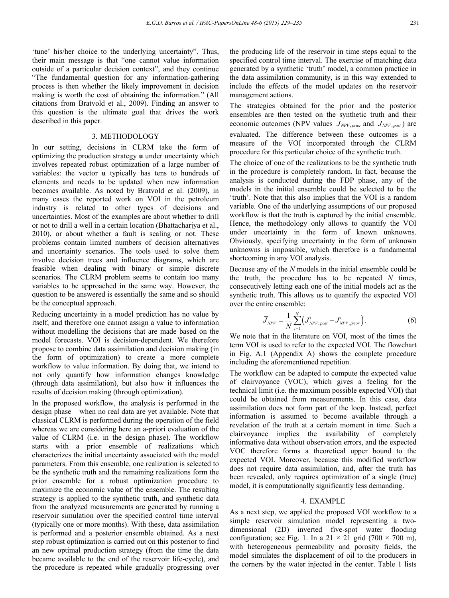'tune' his/her choice to the underlying uncertainty". Thus, their main message is that "one cannot value information outside of a particular decision context", and they continue "The fundamental question for any information-gathering process is then whether the likely improvement in decision making is worth the cost of obtaining the information." (All citations from Bratvold et al., 2009). Finding an answer to this question is the ultimate goal that drives the work described in this paper.

#### 3. METHODOLOGY

In our setting, decisions in CLRM take the form of optimizing the production strategy **u** under uncertainty which involves repeated robust optimization of a large number of variables: the vector **u** typically has tens to hundreds of elements and needs to be updated when new information becomes available. As noted by Bratvold et al. (2009), in many cases the reported work on VOI in the petroleum industry is related to other types of decisions and uncertainties. Most of the examples are about whether to drill or not to drill a well in a certain location (Bhattacharjya et al., 2010), or about whether a fault is sealing or not. These problems contain limited numbers of decision alternatives and uncertainty scenarios. The tools used to solve them involve decision trees and influence diagrams, which are feasible when dealing with binary or simple discrete scenarios. The CLRM problem seems to contain too many variables to be approached in the same way. However, the question to be answered is essentially the same and so should be the conceptual approach.

Reducing uncertainty in a model prediction has no value by itself, and therefore one cannot assign a value to information without modelling the decisions that are made based on the model forecasts. VOI is decision-dependent. We therefore propose to combine data assimilation and decision making (in the form of optimization) to create a more complete workflow to value information. By doing that, we intend to not only quantify how information changes knowledge (through data assimilation), but also how it influences the results of decision making (through optimization).

In the proposed workflow, the analysis is performed in the design phase – when no real data are yet available. Note that classical CLRM is performed during the operation of the field whereas we are considering here an a-priori evaluation of the value of CLRM (i.e. in the design phase). The workflow starts with a prior ensemble of realizations which characterizes the initial uncertainty associated with the model parameters. From this ensemble, one realization is selected to be the synthetic truth and the remaining realizations form the prior ensemble for a robust optimization procedure to maximize the economic value of the ensemble. The resulting strategy is applied to the synthetic truth, and synthetic data from the analyzed measurements are generated by running a reservoir simulation over the specified control time interval (typically one or more months). With these, data assimilation is performed and a posterior ensemble obtained. As a next step robust optimization is carried out on this posterior to find an new optimal production strategy (from the time the data became available to the end of the reservoir life-cycle), and the procedure is repeated while gradually progressing over the producing life of the reservoir in time steps equal to the specified control time interval. The exercise of matching data generated by a synthetic 'truth' model, a common practice in the data assimilation community, is in this way extended to include the effects of the model updates on the reservoir management actions.

The strategies obtained for the prior and the posterior ensembles are then tested on the synthetic truth and their economic outcomes (NPV values  $J_{NPV, prior}$  and  $J_{NPV,post}$ ) are evaluated. The difference between these outcomes is a measure of the VOI incorporated through the CLRM procedure for this particular choice of the synthetic truth.

The choice of one of the realizations to be the synthetic truth in the procedure is completely random. In fact, because the analysis is conducted during the FDP phase, any of the models in the initial ensemble could be selected to be the 'truth'. Note that this also implies that the VOI is a random variable. One of the underlying assumptions of our proposed workflow is that the truth is captured by the initial ensemble. Hence, the methodology only allows to quantify the VOI under uncertainty in the form of known unknowns. Obviously, specifying uncertainty in the form of unknown unknowns is impossible, which therefore is a fundamental shortcoming in any VOI analysis.

Because any of the *N* models in the initial ensemble could be the truth, the procedure has to be repeated *N* times, consecutively letting each one of the initial models act as the synthetic truth. This allows us to quantify the expected VOI over the entire ensemble:

$$
\overline{J}_{NPV} = \frac{1}{N} \sum_{i=1}^{N} \left( J_{NPV,post}^{i} - J_{NPV,prior}^{i} \right). \tag{6}
$$

We note that in the literature on VOI, most of the times the term VOI is used to refer to the expected VOI. The flowchart in Fig. A.1 (Appendix A) shows the complete procedure including the aforementioned repetition.

The workflow can be adapted to compute the expected value of clairvoyance (VOC), which gives a feeling for the technical limit (i.e. the maximum possible expected VOI) that could be obtained from measurements. In this case, data assimilation does not form part of the loop. Instead, perfect information is assumed to become available through a revelation of the truth at a certain moment in time. Such a clairvoyance implies the availability of completely informative data without observation errors, and the expected VOC therefore forms a theoretical upper bound to the expected VOI. Moreover, because this modified workflow does not require data assimilation, and, after the truth has been revealed, only requires optimization of a single (true) model, it is computationally significantly less demanding.

## 4. EXAMPLE

As a next step, we applied the proposed VOI workflow to a simple reservoir simulation model representing a twodimensional (2D) inverted five-spot water flooding configuration; see Fig. 1. In a  $21 \times 21$  grid (700  $\times$  700 m), with heterogeneous permeability and porosity fields, the model simulates the displacement of oil to the producers in the corners by the water injected in the center. Table 1 lists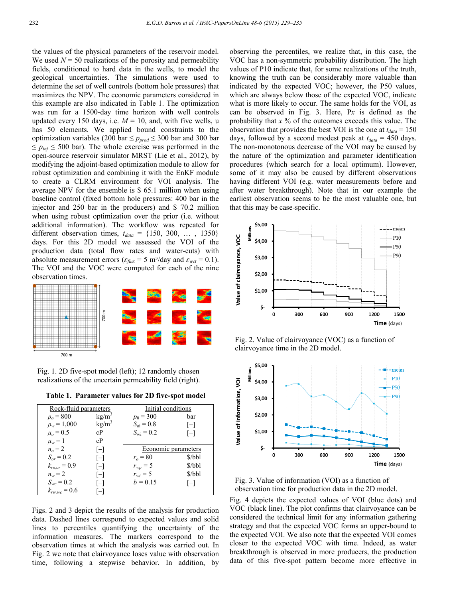the values of the physical parameters of the reservoir model. We used  $N = 50$  realizations of the porosity and permeability fields, conditioned to hard data in the wells, to model the geological uncertainties. The simulations were used to determine the set of well controls (bottom hole pressures) that maximizes the NPV. The economic parameters considered in this example are also indicated in Table 1. The optimization was run for a 1500-day time horizon with well controls updated every 150 days, i.e.  $M = 10$ , and, with five wells, u has 50 elements. We applied bound constraints to the optimization variables (200 bar  $\leq p_{prod} \leq 300$  bar and 300 bar  $\leq p_{ini} \leq 500$  bar). The whole exercise was performed in the open-source reservoir simulator MRST (Lie et al., 2012), by modifying the adjoint-based optimization module to allow for robust optimization and combining it with the EnKF module to create a CLRM environment for VOI analysis. The average NPV for the ensemble is \$ 65.1 million when using baseline control (fixed bottom hole pressures: 400 bar in the injector and 250 bar in the producers) and \$ 70.2 million when using robust optimization over the prior (i.e. without additional information). The workflow was repeated for different observation times,  $t_{data} = \{150, 300, ..., 1350\}$ days. For this 2D model we assessed the VOI of the production data (total flow rates and water-cuts) with absolute measurement errors ( $\varepsilon_{flux} = 5$  m<sup>3</sup>/day and  $\varepsilon_{wct} = 0.1$ ). The VOI and the VOC were computed for each of the nine observation times.



Fig. 1. 2D five-spot model (left); 12 randomly chosen realizations of the uncertain permeability field (right).

**Table 1. Parameter values for 2D five-spot model** 

| Rock-fluid parameters |                   | Initial conditions  |        |
|-----------------------|-------------------|---------------------|--------|
| $\rho_o = 800$        | $kg/m^3$          | $p_0 = 300$         | bar    |
| $\rho_w = 1,000$      | kg/m <sup>3</sup> | $S_{\rm oi} = 0.8$  | $[-]$  |
| $\mu_o = 0.5$         | cP                | $S_{\rm wi} = 0.2$  | $[-]$  |
| $\mu_w = 1$           | cP                |                     |        |
| $n_{o} = 2$           | $[-]$             | Economic parameters |        |
| $S_{\alpha r} = 0.2$  | -1                | $r_o = 80$          | \$/bbl |
| $k_{ro.or} = 0.9$     | $[-]$             | $r_{wp} = 5$        | \$/bbl |
| $n_w = 2$             | $[-]$             | $r_{wi} = 5$        | \$/bbl |
| $S_{wc} = 0.2$        | $[-]$             | $b = 0.15$          | $[-]$  |
| $k_{rw.wc} = 0.6$     |                   |                     |        |

Figs. 2 and 3 depict the results of the analysis for production data. Dashed lines correspond to expected values and solid lines to percentiles quantifying the uncertainty of the information measures. The markers correspond to the observation times at which the analysis was carried out. In Fig. 2 we note that clairvoyance loses value with observation time, following a stepwise behavior. In addition, by

observing the percentiles, we realize that, in this case, the VOC has a non-symmetric probability distribution. The high values of P10 indicate that, for some realizations of the truth, knowing the truth can be considerably more valuable than indicated by the expected VOC; however, the P50 values, which are always below those of the expected VOC, indicate what is more likely to occur. The same holds for the VOI, as can be observed in Fig. 3. Here, P*x* is defined as the probability that *x* % of the outcomes exceeds this value. The observation that provides the best VOI is the one at  $t_{data} = 150$ days, followed by a second modest peak at  $t_{data} = 450$  days. The non-monotonous decrease of the VOI may be caused by the nature of the optimization and parameter identification procedures (which search for a local optimum). However, some of it may also be caused by different observations having different VOI (e.g. water measurements before and after water breakthrough). Note that in our example the earliest observation seems to be the most valuable one, but that this may be case-specific.



Fig. 2. Value of clairvoyance (VOC) as a function of clairvoyance time in the 2D model.



Fig. 3. Value of information (VOI) as a function of observation time for production data in the 2D model.

Fig. 4 depicts the expected values of VOI (blue dots) and VOC (black line). The plot confirms that clairvoyance can be considered the technical limit for any information gathering strategy and that the expected VOC forms an upper-bound to the expected VOI. We also note that the expected VOI comes closer to the expected VOC with time. Indeed, as water breakthrough is observed in more producers, the production data of this five-spot pattern become more effective in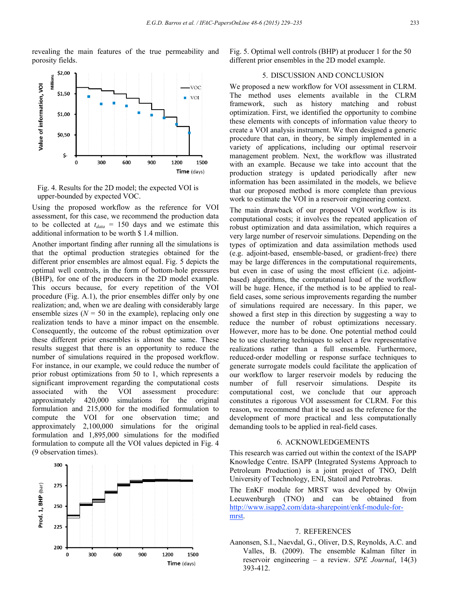revealing the main features of the true permeability and porosity fields.



Fig. 4. Results for the 2D model; the expected VOI is upper-bounded by expected VOC.

Using the proposed workflow as the reference for VOI assessment, for this case, we recommend the production data to be collected at  $t_{data} = 150$  days and we estimate this additional information to be worth \$ 1.4 million.

Another important finding after running all the simulations is that the optimal production strategies obtained for the different prior ensembles are almost equal. Fig. 5 depicts the optimal well controls, in the form of bottom-hole pressures (BHP), for one of the producers in the 2D model example. This occurs because, for every repetition of the VOI procedure (Fig. A.1), the prior ensembles differ only by one realization; and, when we are dealing with considerably large ensemble sizes ( $N = 50$  in the example), replacing only one realization tends to have a minor impact on the ensemble. Consequently, the outcome of the robust optimization over these different prior ensembles is almost the same. These results suggest that there is an opportunity to reduce the number of simulations required in the proposed workflow. For instance, in our example, we could reduce the number of prior robust optimizations from 50 to 1, which represents a significant improvement regarding the computational costs associated with the VOI assessment procedure: approximately 420,000 simulations for the original formulation and 215,000 for the modified formulation to compute the VOI for one observation time; and approximately 2,100,000 simulations for the original formulation and 1,895,000 simulations for the modified formulation to compute all the VOI values depicted in Fig. 4 (9 observation times).



Fig. 5. Optimal well controls (BHP) at producer 1 for the 50 different prior ensembles in the 2D model example.

## 5. DISCUSSION AND CONCLUSION

We proposed a new workflow for VOI assessment in CLRM. The method uses elements available in the CLRM framework, such as history matching and robust optimization. First, we identified the opportunity to combine these elements with concepts of information value theory to create a VOI analysis instrument. We then designed a generic procedure that can, in theory, be simply implemented in a variety of applications, including our optimal reservoir management problem. Next, the workflow was illustrated with an example. Because we take into account that the production strategy is updated periodically after new information has been assimilated in the models, we believe that our proposed method is more complete than previous work to estimate the VOI in a reservoir engineering context.

The main drawback of our proposed VOI workflow is its computational costs; it involves the repeated application of robust optimization and data assimilation, which requires a very large number of reservoir simulations. Depending on the types of optimization and data assimilation methods used (e.g. adjoint-based, ensemble-based, or gradient-free) there may be large differences in the computational requirements, but even in case of using the most efficient (i.e. adjointbased) algorithms, the computational load of the workflow will be huge. Hence, if the method is to be applied to realfield cases, some serious improvements regarding the number of simulations required are necessary. In this paper, we showed a first step in this direction by suggesting a way to reduce the number of robust optimizations necessary. However, more has to be done. One potential method could be to use clustering techniques to select a few representative realizations rather than a full ensemble. Furthermore, reduced-order modelling or response surface techniques to generate surrogate models could facilitate the application of our workflow to larger reservoir models by reducing the number of full reservoir simulations. Despite its computational cost, we conclude that our approach constitutes a rigorous VOI assessment for CLRM. For this reason, we recommend that it be used as the reference for the development of more practical and less computationally demanding tools to be applied in real-field cases.

## 6. ACKNOWLEDGEMENTS

This research was carried out within the context of the ISAPP Knowledge Centre. ISAPP (Integrated Systems Approach to Petroleum Production) is a joint project of TNO, Delft University of Technology, ENI, Statoil and Petrobras.

The EnKF module for MRST was developed by Olwijn Leeuwenburgh (TNO) and can be obtained from http://www.isapp2.com/data-sharepoint/enkf-module-formrst.

## 7. REFERENCES

Aanonsen, S.I., Naevdal, G., Oliver, D.S, Reynolds, A.C. and Valles, B. (2009). The ensemble Kalman filter in reservoir engineering – a review. *SPE Journal*, 14(3) 393-412.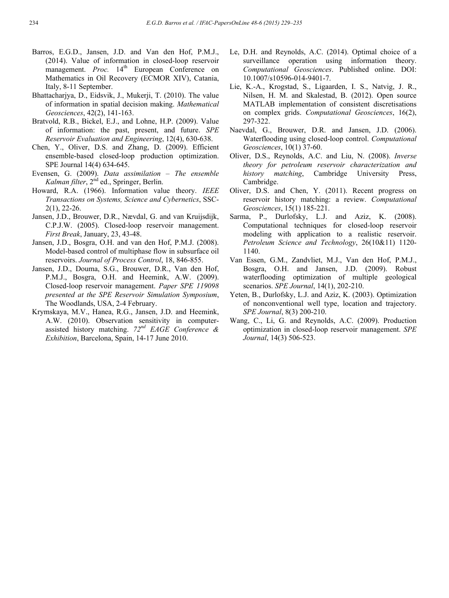- Barros, E.G.D., Jansen, J.D. and Van den Hof, P.M.J., (2014). Value of information in closed-loop reservoir management. *Proc.* 14<sup>th</sup> European Conference on Mathematics in Oil Recovery (ECMOR XIV), Catania, Italy, 8-11 September.
- Bhattachariya, D., Eidsvik, J., Mukerii, T. (2010). The value of information in spatial decision making. *Mathematical Geosciences*, 42(2), 141-163.
- Bratvold, R.B., Bickel, E.J., and Lohne, H.P. (2009). Value of information: the past, present, and future. *SPE Reservoir Evaluation and Engineering*, 12(4), 630-638.
- Chen, Y., Oliver, D.S. and Zhang, D. (2009). Efficient ensemble-based closed-loop production optimization. SPE Journal 14(4) 634-645.
- Evensen, G. (2009). *Data assimilation – The ensemble Kalman filter*, 2<sup>nd</sup> ed., Springer, Berlin.
- Howard, R.A. (1966). Information value theory. *IEEE Transactions on Systems, Science and Cybernetics*, SSC-2(1), 22-26.
- Jansen, J.D., Brouwer, D.R., Nævdal, G. and van Kruijsdijk, C.P.J.W. (2005). Closed-loop reservoir management. *First Break*, January, 23, 43-48.
- Jansen, J.D., Bosgra, O.H. and van den Hof, P.M.J. (2008). Model-based control of multiphase flow in subsurface oil reservoirs. *Journal of Process Control*, 18, 846-855.
- Jansen, J.D., Douma, S.G., Brouwer, D.R., Van den Hof, P.M.J., Bosgra, O.H. and Heemink, A.W. (2009). Closed-loop reservoir management. *Paper SPE 119098 presented at the SPE Reservoir Simulation Symposium*, The Woodlands, USA, 2-4 February.
- Krymskaya, M.V., Hanea, R.G., Jansen, J.D. and Heemink, A.W. (2010). Observation sensitivity in computerassisted history matching. *72nd EAGE Conference & Exhibition*, Barcelona, Spain, 14-17 June 2010.
- Le, D.H. and Reynolds, A.C. (2014). Optimal choice of a surveillance operation using information theory. *Computational Geosciences*. Published online. DOI: 10.1007/s10596-014-9401-7.
- Lie, K.-A., Krogstad, S., Ligaarden, I. S., Natvig, J. R., Nilsen, H. M. and Skalestad, B. (2012). Open source MATLAB implementation of consistent discretisations on complex grids. *Computational Geosciences*, 16(2), 297-322.
- Naevdal, G., Brouwer, D.R. and Jansen, J.D. (2006). Waterflooding using closed-loop control. *Computational Geosciences*, 10(1) 37-60.
- Oliver, D.S., Reynolds, A.C. and Liu, N. (2008). *Inverse theory for petroleum reservoir characterization and history matching*, Cambridge University Press, Cambridge.
- Oliver, D.S. and Chen, Y. (2011). Recent progress on reservoir history matching: a review. *Computational Geosciences*, 15(1) 185-221.
- Sarma, P., Durlofsky, L.J. and Aziz, K. (2008). Computational techniques for closed-loop reservoir modeling with application to a realistic reservoir. *Petroleum Science and Technology*, 26(10&11) 1120- 1140.
- Van Essen, G.M., Zandvliet, M.J., Van den Hof, P.M.J., Bosgra, O.H. and Jansen, J.D. (2009). Robust waterflooding optimization of multiple geological scenarios. *SPE Journal*, 14(1), 202-210.
- Yeten, B., Durlofsky, L.J. and Aziz, K. (2003). Optimization of nonconventional well type, location and trajectory. *SPE Journal*, 8(3) 200-210.
- Wang, C., Li, G. and Reynolds, A.C. (2009). Production optimization in closed-loop reservoir management. *SPE Journal*, 14(3) 506-523.